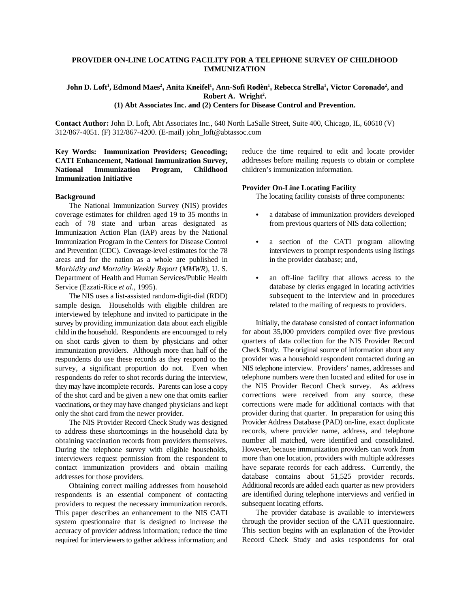## **PROVIDER ON-LINE LOCATING FACILITY FOR A TELEPHONE SURVEY OF CHILDHOOD IMMUNIZATION**

# John D. Loft<sup>1</sup>, Edmond Maes<sup>2</sup>, Anita Kneifel<sup>1</sup>, Ann-Sofi Rodèn<sup>1</sup>, Rebecca Strella<sup>1</sup>, Victor Coronado<sup>2</sup>, and<br>Robert A. Wright<sup>2</sup>. **(1) Abt Associates Inc. and (2) Centers for Disease Control and Prevention.**

**Contact Author:** John D. Loft, Abt Associates Inc., 640 North LaSalle Street, Suite 400, Chicago, IL, 60610 (V) 312/867-4051. (F) 312/867-4200. (E-mail) john\_loft@abtassoc.com

# **Key Words: Immunization Providers; Geocoding; CATI Enhancement, National Immunization Survey, National Immunization Program, Childhood Immunization Initiative**

#### **Background**

The National Immunization Survey (NIS) provides coverage estimates for children aged 19 to 35 months in each of 78 state and urban areas designated as Immunization Action Plan (IAP) areas by the National Immunization Program in the Centers for Disease Control and Prevention (CDC). Coverage-level estimates for the 78 areas and for the nation as a whole are published in *Morbidity and Mortality Weekly Report* (*MMWR*), U. S. Department of Health and Human Services/Public Health Service (Ezzati-Rice *et al.*, 1995).

The NIS uses a list-assisted random-digit-dial (RDD) sample design. Households with eligible children are interviewed by telephone and invited to participate in the survey by providing immunization data about each eligible child in the household. Respondents are encouraged to rely on shot cards given to them by physicians and other immunization providers. Although more than half of the respondents do use these records as they respond to the survey, a significant proportion do not. Even when respondents do refer to shot records during the interview, they may have incomplete records. Parents can lose a copy of the shot card and be given a new one that omits earlier vaccinations, or they may have changed physicians and kept only the shot card from the newer provider.

The NIS Provider Record Check Study was designed to address these shortcomings in the household data by obtaining vaccination records from providers themselves. During the telephone survey with eligible households, interviewers request permission from the respondent to contact immunization providers and obtain mailing addresses for those providers.

Obtaining correct mailing addresses from household respondents is an essential component of contacting providers to request the necessary immunization records. This paper describes an enhancement to the NIS CATI system questionnaire that is designed to increase the accuracy of provider address information; reduce the time required for interviewers to gather address information; and

reduce the time required to edit and locate provider addresses before mailing requests to obtain or complete children's immunization information.

## **Provider On-Line Locating Facility**

The locating facility consists of three components:

- a database of immunization providers developed from previous quarters of NIS data collection;
- a section of the CATI program allowing interviewers to prompt respondents using listings in the provider database; and,
- an off-line facility that allows access to the database by clerks engaged in locating activities subsequent to the interview and in procedures related to the mailing of requests to providers.

Initially, the database consisted of contact information for about 35,000 providers compiled over five previous quarters of data collection for the NIS Provider Record Check Study. The original source of information about any provider was a household respondent contacted during an NIS telephone interview. Providers' names, addresses and telephone numbers were then located and edited for use in the NIS Provider Record Check survey. As address corrections were received from any source, these corrections were made for additional contacts with that provider during that quarter. In preparation for using this Provider Address Database (PAD) on-line, exact duplicate records, where provider name, address, and telephone number all matched, were identified and consolidated. However, because immunization providers can work from more than one location, providers with multiple addresses have separate records for each address. Currently, the database contains about 51,525 provider records. Additional records are added each quarter as new providers are identified during telephone interviews and verified in subsequent locating efforts.

The provider database is available to interviewers through the provider section of the CATI questionnaire. This section begins with an explanation of the Provider Record Check Study and asks respondents for oral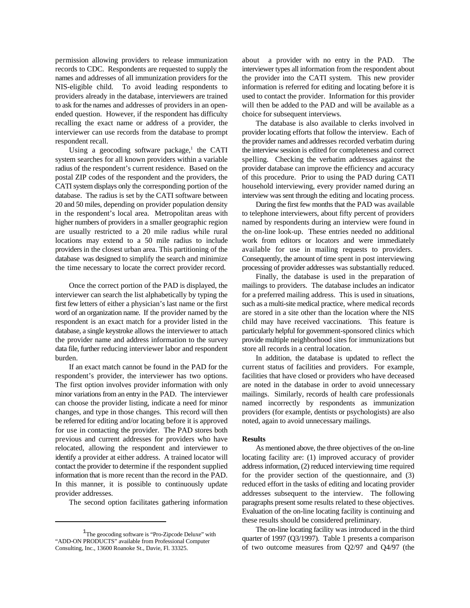permission allowing providers to release immunization records to CDC. Respondents are requested to supply the names and addresses of all immunization providers for the NIS-eligible child. To avoid leading respondents to providers already in the database, interviewers are trained to ask for the names and addresses of providers in an openended question. However, if the respondent has difficulty recalling the exact name or address of a provider, the interviewer can use records from the database to prompt respondent recall.

Using a geocoding software package,<sup>1</sup> the CATI system searches for all known providers within a variable radius of the respondent's current residence. Based on the postal ZIP codes of the respondent and the providers, the CATI system displays only the corresponding portion of the database. The radius is set by the CATI software between 20 and 50 miles, depending on provider population density in the respondent's local area. Metropolitan areas with higher numbers of providers in a smaller geographic region are usually restricted to a 20 mile radius while rural locations may extend to a 50 mile radius to include providers in the closest urban area. This partitioning of the database was designed to simplify the search and minimize the time necessary to locate the correct provider record.

Once the correct portion of the PAD is displayed, the interviewer can search the list alphabetically by typing the first few letters of either a physician's last name or the first word of an organization name. If the provider named by the respondent is an exact match for a provider listed in the database, a single keystroke allows the interviewer to attach the provider name and address information to the survey data file, further reducing interviewer labor and respondent burden.

If an exact match cannot be found in the PAD for the respondent's provider, the interviewer has two options. The first option involves provider information with only minor variations from an entry in the PAD. The interviewer can choose the provider listing, indicate a need for minor changes, and type in those changes. This record will then be referred for editing and/or locating before it is approved for use in contacting the provider. The PAD stores both previous and current addresses for providers who have relocated, allowing the respondent and interviewer to identify a provider at either address. A trained locator will contact the provider to determine if the respondent supplied information that is more recent than the record in the PAD. In this manner, it is possible to continuously update provider addresses.

The second option facilitates gathering information

about a provider with no entry in the PAD. The interviewer types all information from the respondent about the provider into the CATI system. This new provider information is referred for editing and locating before it is used to contact the provider. Information for this provider will then be added to the PAD and will be available as a choice for subsequent interviews.

The database is also available to clerks involved in provider locating efforts that follow the interview. Each of the provider names and addresses recorded verbatim during the interview session is edited for completeness and correct spelling. Checking the verbatim addresses against the provider database can improve the efficiency and accuracy of this procedure. Prior to using the PAD during CATI household interviewing, every provider named during an interview was sent through the editing and locating process.

During the first few months that the PAD was available to telephone interviewers, about fifty percent of providers named by respondents during an interview were found in the on-line look-up. These entries needed no additional work from editors or locators and were immediately available for use in mailing requests to providers. Consequently, the amount of time spent in post interviewing processing of provider addresses was substantially reduced.

Finally, the database is used in the preparation of mailings to providers. The database includes an indicator for a preferred mailing address. This is used in situations, such as a multi-site medical practice, where medical records are stored in a site other than the location where the NIS child may have received vaccinations. This feature is particularly helpful for government-sponsored clinics which provide multiple neighborhood sites for immunizations but store all records in a central location.

In addition, the database is updated to reflect the current status of facilities and providers. For example, facilities that have closed or providers who have deceased are noted in the database in order to avoid unnecessary mailings. Similarly, records of health care professionals named incorrectly by respondents as immunization providers (for example, dentists or psychologists) are also noted, again to avoid unnecessary mailings.

#### **Results**

As mentioned above, the three objectives of the on-line locating facility are: (1) improved accuracy of provider address information, (2) reduced interviewing time required for the provider section of the questionnaire, and (3) reduced effort in the tasks of editing and locating provider addresses subsequent to the interview. The following paragraphs present some results related to these objectives. Evaluation of the on-line locating facility is continuing and these results should be considered preliminary.

The on-line locating facility was introduced in the third quarter of 1997 (Q3/1997). Table 1 presents a comparison of two outcome measures from Q2/97 and Q4/97 (the

<sup>&</sup>lt;sup>1</sup>The geocoding software is "Pro-Zipcode Deluxe" with "ADD-ON PRODUCTS" available from Professional Computer Consulting, Inc., 13600 Roanoke St., Davie, Fl. 33325.